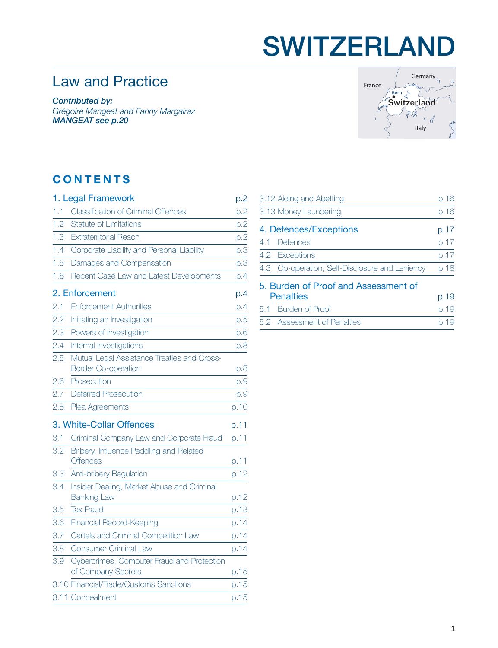## SWITZERLAND

## Law and Practice

*Contributed by:*

*Grégoire Mangeat and Fanny Margairaz MANGEAT [see p.20](#page-19-0)*



### **CONTENTS**

|     | 1. Legal Framework                                                        | p.2  |
|-----|---------------------------------------------------------------------------|------|
| 1.1 | <b>Classification of Criminal Offences</b>                                | p.2  |
| 1.2 | <b>Statute of Limitations</b>                                             | p.2  |
| 1.3 | <b>Extraterritorial Reach</b>                                             | p.2  |
| 1.4 | Corporate Liability and Personal Liability                                | p.3  |
| 1.5 | Damages and Compensation                                                  | p.3  |
| 1.6 | Recent Case Law and Latest Developments                                   | p.4  |
|     | 2. Enforcement                                                            | p.4  |
| 2.1 | <b>Enforcement Authorities</b>                                            | p.4  |
| 2.2 | Initiating an Investigation                                               | p.5  |
| 2.3 | Powers of Investigation                                                   | D.6  |
| 2.4 | Internal Investigations                                                   | p.8  |
| 2.5 | Mutual Legal Assistance Treaties and Cross-<br><b>Border Co-operation</b> | p.8  |
| 2.6 | Prosecution                                                               | p.9  |
| 2.7 | <b>Deferred Prosecution</b>                                               | p.9  |
| 2.8 | Plea Agreements                                                           | p.10 |
|     | 3. White-Collar Offences                                                  | p.11 |
| 3.1 | Criminal Company Law and Corporate Fraud                                  | p.11 |
| 3.2 | Bribery, Influence Peddling and Related<br><b>Offences</b>                | p.11 |
| 3.3 | Anti-bribery Regulation                                                   | p.12 |
| 3.4 | Insider Dealing, Market Abuse and Criminal<br><b>Banking Law</b>          | p.12 |
| 3.5 | <b>Tax Fraud</b>                                                          | p.13 |
| 3.6 | <b>Financial Record-Keeping</b>                                           | p.14 |
| 3.7 | Cartels and Criminal Competition Law                                      | p.14 |
| 3.8 | <b>Consumer Criminal Law</b>                                              | p.14 |
| 3.9 | Cybercrimes, Computer Fraud and Protection                                |      |
|     | of Company Secrets                                                        | p.15 |
|     | 3.10 Financial/Trade/Customs Sanctions                                    | p.15 |
|     | 3.11 Concealment                                                          | p.15 |
|     |                                                                           |      |

|                  | 3.12 Aiding and Abetting                       | p.16 |
|------------------|------------------------------------------------|------|
|                  | 3.13 Money Laundering                          | p.16 |
|                  | 4. Defences/Exceptions                         | p.17 |
|                  | 4.1 Defences                                   | p.17 |
|                  | 4.2 Exceptions                                 | p.17 |
|                  | 4.3 Co-operation, Self-Disclosure and Leniency | p.18 |
|                  | 5. Burden of Proof and Assessment of           |      |
| <b>Penalties</b> |                                                | p.19 |
|                  | 5.1 Burden of Proof                            | p.19 |

| 5.2 Assessment of Penalties | p.19 |
|-----------------------------|------|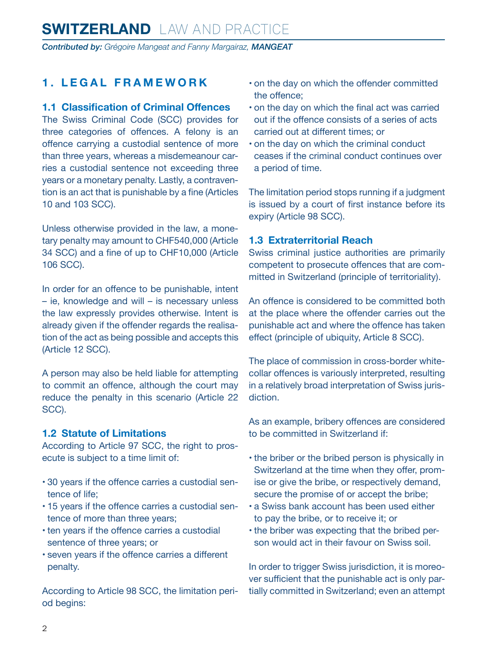## <span id="page-1-0"></span>**SWITZERLAND** LAW AND PRACTICE

*Contributed by: Grégoire Mangeat and Fanny Margairaz, MANGEAT*

#### **1. LEGAL FRAMEWORK**

#### **1.1 Classification of Criminal Offences**

The Swiss Criminal Code (SCC) provides for three categories of offences. A felony is an offence carrying a custodial sentence of more than three years, whereas a misdemeanour carries a custodial sentence not exceeding three years or a monetary penalty. Lastly, a contravention is an act that is punishable by a fine (Articles 10 and 103 SCC).

Unless otherwise provided in the law, a monetary penalty may amount to CHF540,000 (Article 34 SCC) and a fine of up to CHF10,000 (Article 106 SCC).

In order for an offence to be punishable, intent – ie, knowledge and will – is necessary unless the law expressly provides otherwise. Intent is already given if the offender regards the realisation of the act as being possible and accepts this (Article 12 SCC).

A person may also be held liable for attempting to commit an offence, although the court may reduce the penalty in this scenario (Article 22 SCC).

#### **1.2 Statute of Limitations**

According to Article 97 SCC, the right to prosecute is subject to a time limit of:

- 30 years if the offence carries a custodial sentence of life;
- 15 years if the offence carries a custodial sentence of more than three years;
- ten years if the offence carries a custodial sentence of three years; or
- seven years if the offence carries a different penalty.

According to Article 98 SCC, the limitation period begins:

- on the day on which the offender committed the offence;
- on the day on which the final act was carried out if the offence consists of a series of acts carried out at different times; or
- on the day on which the criminal conduct ceases if the criminal conduct continues over a period of time.

The limitation period stops running if a judgment is issued by a court of first instance before its expiry (Article 98 SCC).

#### **1.3 Extraterritorial Reach**

Swiss criminal justice authorities are primarily competent to prosecute offences that are committed in Switzerland (principle of territoriality).

An offence is considered to be committed both at the place where the offender carries out the punishable act and where the offence has taken effect (principle of ubiquity, Article 8 SCC).

The place of commission in cross-border whitecollar offences is variously interpreted, resulting in a relatively broad interpretation of Swiss jurisdiction.

As an example, bribery offences are considered to be committed in Switzerland if:

- the briber or the bribed person is physically in Switzerland at the time when they offer, promise or give the bribe, or respectively demand, secure the promise of or accept the bribe;
- a Swiss bank account has been used either to pay the bribe, or to receive it; or
- the briber was expecting that the bribed person would act in their favour on Swiss soil.

In order to trigger Swiss jurisdiction, it is moreover sufficient that the punishable act is only partially committed in Switzerland; even an attempt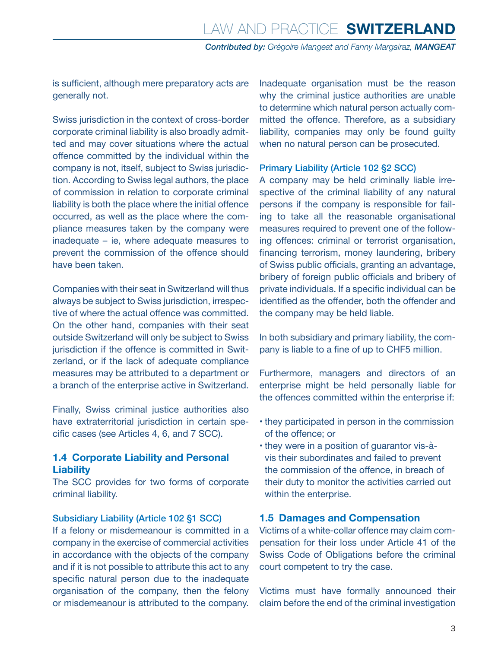<span id="page-2-0"></span>is sufficient, although mere preparatory acts are generally not.

Swiss jurisdiction in the context of cross-border corporate criminal liability is also broadly admitted and may cover situations where the actual offence committed by the individual within the company is not, itself, subject to Swiss jurisdiction. According to Swiss legal authors, the place of commission in relation to corporate criminal liability is both the place where the initial offence occurred, as well as the place where the compliance measures taken by the company were inadequate – ie, where adequate measures to prevent the commission of the offence should have been taken.

Companies with their seat in Switzerland will thus always be subject to Swiss jurisdiction, irrespective of where the actual offence was committed. On the other hand, companies with their seat outside Switzerland will only be subject to Swiss jurisdiction if the offence is committed in Switzerland, or if the lack of adequate compliance measures may be attributed to a department or a branch of the enterprise active in Switzerland.

Finally, Swiss criminal justice authorities also have extraterritorial jurisdiction in certain specific cases (see Articles 4, 6, and 7 SCC).

#### **1.4 Corporate Liability and Personal Liability**

The SCC provides for two forms of corporate criminal liability.

#### Subsidiary Liability (Article 102 §1 SCC)

If a felony or misdemeanour is committed in a company in the exercise of commercial activities in accordance with the objects of the company and if it is not possible to attribute this act to any specific natural person due to the inadequate organisation of the company, then the felony or misdemeanour is attributed to the company.

Inadequate organisation must be the reason why the criminal justice authorities are unable to determine which natural person actually committed the offence. Therefore, as a subsidiary liability, companies may only be found guilty when no natural person can be prosecuted.

#### Primary Liability (Article 102 §2 SCC)

A company may be held criminally liable irrespective of the criminal liability of any natural persons if the company is responsible for failing to take all the reasonable organisational measures required to prevent one of the following offences: criminal or terrorist organisation, financing terrorism, money laundering, bribery of Swiss public officials, granting an advantage, bribery of foreign public officials and bribery of private individuals. If a specific individual can be identified as the offender, both the offender and the company may be held liable.

In both subsidiary and primary liability, the company is liable to a fine of up to CHF5 million.

Furthermore, managers and directors of an enterprise might be held personally liable for the offences committed within the enterprise if:

- they participated in person in the commission of the offence; or
- they were in a position of guarantor vis-àvis their subordinates and failed to prevent the commission of the offence, in breach of their duty to monitor the activities carried out within the enterprise.

#### **1.5 Damages and Compensation**

Victims of a white-collar offence may claim compensation for their loss under Article 41 of the Swiss Code of Obligations before the criminal court competent to try the case.

Victims must have formally announced their claim before the end of the criminal investigation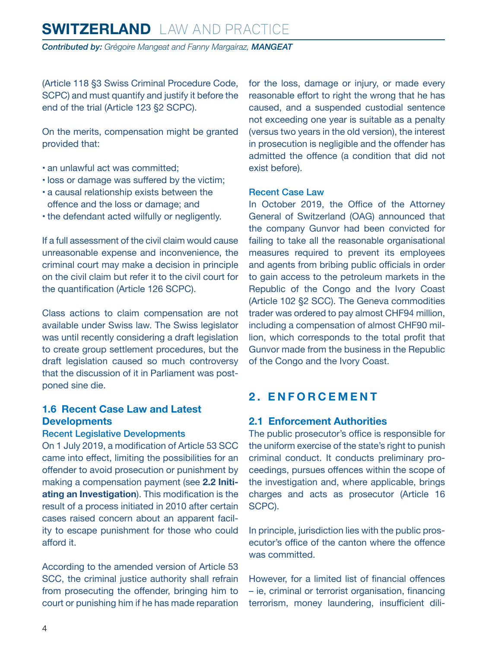<span id="page-3-0"></span>(Article 118 §3 Swiss Criminal Procedure Code, SCPC) and must quantify and justify it before the end of the trial (Article 123 §2 SCPC).

On the merits, compensation might be granted provided that:

- an unlawful act was committed;
- loss or damage was suffered by the victim;
- a causal relationship exists between the offence and the loss or damage; and
- the defendant acted wilfully or negligently.

If a full assessment of the civil claim would cause unreasonable expense and inconvenience, the criminal court may make a decision in principle on the civil claim but refer it to the civil court for the quantification (Article 126 SCPC).

Class actions to claim compensation are not available under Swiss law. The Swiss legislator was until recently considering a draft legislation to create group settlement procedures, but the draft legislation caused so much controversy that the discussion of it in Parliament was postponed sine die.

#### **1.6 Recent Case Law and Latest Developments**

#### Recent Legislative Developments

On 1 July 2019, a modification of Article 53 SCC came into effect, limiting the possibilities for an offender to avoid prosecution or punishment by making a compensation payment (see **2.2 Initiating an Investigation**). This modification is the result of a process initiated in 2010 after certain cases raised concern about an apparent facility to escape punishment for those who could afford it.

According to the amended version of Article 53 SCC, the criminal justice authority shall refrain from prosecuting the offender, bringing him to court or punishing him if he has made reparation for the loss, damage or injury, or made every reasonable effort to right the wrong that he has caused, and a suspended custodial sentence not exceeding one year is suitable as a penalty (versus two years in the old version), the interest in prosecution is negligible and the offender has admitted the offence (a condition that did not exist before).

#### Recent Case Law

In October 2019, the Office of the Attorney General of Switzerland (OAG) announced that the company Gunvor had been convicted for failing to take all the reasonable organisational measures required to prevent its employees and agents from bribing public officials in order to gain access to the petroleum markets in the Republic of the Congo and the Ivory Coast (Article 102 §2 SCC). The Geneva commodities trader was ordered to pay almost CHF94 million, including a compensation of almost CHF90 million, which corresponds to the total profit that Gunvor made from the business in the Republic of the Congo and the Ivory Coast.

#### **2. ENFORCEMENT**

#### **2.1 Enforcement Authorities**

The public prosecutor's office is responsible for the uniform exercise of the state's right to punish criminal conduct. It conducts preliminary proceedings, pursues offences within the scope of the investigation and, where applicable, brings charges and acts as prosecutor (Article 16 SCPC).

In principle, jurisdiction lies with the public prosecutor's office of the canton where the offence was committed.

However, for a limited list of financial offences – ie, criminal or terrorist organisation, financing terrorism, money laundering, insufficient dili-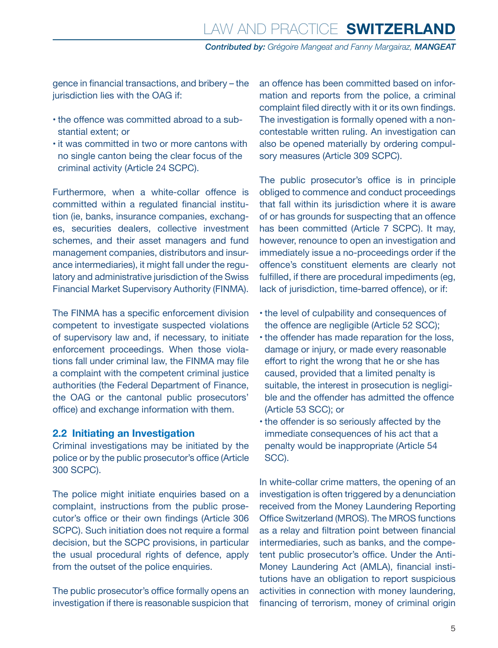<span id="page-4-0"></span>gence in financial transactions, and bribery – the jurisdiction lies with the OAG if:

- the offence was committed abroad to a substantial extent; or
- it was committed in two or more cantons with no single canton being the clear focus of the criminal activity (Article 24 SCPC).

Furthermore, when a white-collar offence is committed within a regulated financial institution (ie, banks, insurance companies, exchanges, securities dealers, collective investment schemes, and their asset managers and fund management companies, distributors and insurance intermediaries), it might fall under the regulatory and administrative jurisdiction of the Swiss Financial Market Supervisory Authority (FINMA).

The FINMA has a specific enforcement division competent to investigate suspected violations of supervisory law and, if necessary, to initiate enforcement proceedings. When those violations fall under criminal law, the FINMA may file a complaint with the competent criminal justice authorities (the Federal Department of Finance, the OAG or the cantonal public prosecutors' office) and exchange information with them.

#### **2.2 Initiating an Investigation**

Criminal investigations may be initiated by the police or by the public prosecutor's office (Article 300 SCPC).

The police might initiate enquiries based on a complaint, instructions from the public prosecutor's office or their own findings (Article 306 SCPC). Such initiation does not require a formal decision, but the SCPC provisions, in particular the usual procedural rights of defence, apply from the outset of the police enquiries.

The public prosecutor's office formally opens an investigation if there is reasonable suspicion that

an offence has been committed based on information and reports from the police, a criminal complaint filed directly with it or its own findings. The investigation is formally opened with a noncontestable written ruling. An investigation can also be opened materially by ordering compulsory measures (Article 309 SCPC).

The public prosecutor's office is in principle obliged to commence and conduct proceedings that fall within its jurisdiction where it is aware of or has grounds for suspecting that an offence has been committed (Article 7 SCPC). It may, however, renounce to open an investigation and immediately issue a no-proceedings order if the offence's constituent elements are clearly not fulfilled, if there are procedural impediments (eg, lack of jurisdiction, time-barred offence), or if:

- the level of culpability and consequences of the offence are negligible (Article 52 SCC);
- the offender has made reparation for the loss, damage or injury, or made every reasonable effort to right the wrong that he or she has caused, provided that a limited penalty is suitable, the interest in prosecution is negligible and the offender has admitted the offence (Article 53 SCC); or
- the offender is so seriously affected by the immediate consequences of his act that a penalty would be inappropriate (Article 54 SCC).

In white-collar crime matters, the opening of an investigation is often triggered by a denunciation received from the Money Laundering Reporting Office Switzerland (MROS). The MROS functions as a relay and filtration point between financial intermediaries, such as banks, and the competent public prosecutor's office. Under the Anti-Money Laundering Act (AMLA), financial institutions have an obligation to report suspicious activities in connection with money laundering, financing of terrorism, money of criminal origin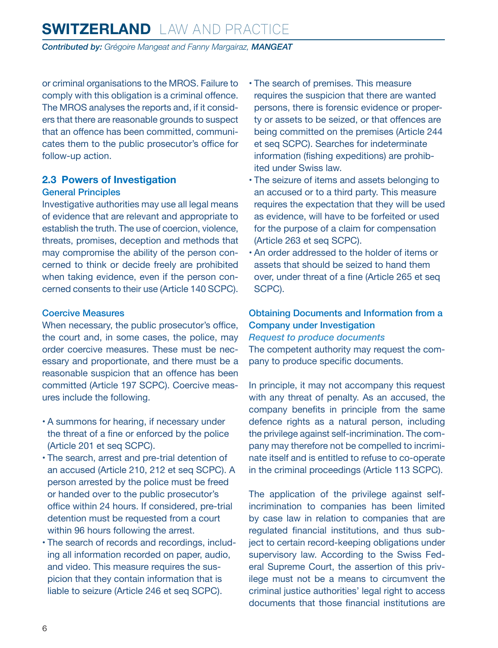## <span id="page-5-0"></span>**SWITZERLAND** LAW AND PRACTICE

*Contributed by: Grégoire Mangeat and Fanny Margairaz, MANGEAT*

or criminal organisations to the MROS. Failure to comply with this obligation is a criminal offence. The MROS analyses the reports and, if it considers that there are reasonable grounds to suspect that an offence has been committed, communicates them to the public prosecutor's office for follow-up action.

#### **2.3 Powers of Investigation**

#### General Principles

Investigative authorities may use all legal means of evidence that are relevant and appropriate to establish the truth. The use of coercion, violence, threats, promises, deception and methods that may compromise the ability of the person concerned to think or decide freely are prohibited when taking evidence, even if the person concerned consents to their use (Article 140 SCPC).

#### Coercive Measures

When necessary, the public prosecutor's office, the court and, in some cases, the police, may order coercive measures. These must be necessary and proportionate, and there must be a reasonable suspicion that an offence has been committed (Article 197 SCPC). Coercive measures include the following.

- A summons for hearing, if necessary under the threat of a fine or enforced by the police (Article 201 et seq SCPC).
- The search, arrest and pre-trial detention of an accused (Article 210, 212 et seq SCPC). A person arrested by the police must be freed or handed over to the public prosecutor's office within 24 hours. If considered, pre-trial detention must be requested from a court within 96 hours following the arrest.
- The search of records and recordings, including all information recorded on paper, audio, and video. This measure requires the suspicion that they contain information that is liable to seizure (Article 246 et seq SCPC).
- The search of premises. This measure requires the suspicion that there are wanted persons, there is forensic evidence or property or assets to be seized, or that offences are being committed on the premises (Article 244 et seq SCPC). Searches for indeterminate information (fishing expeditions) are prohibited under Swiss law.
- The seizure of items and assets belonging to an accused or to a third party. This measure requires the expectation that they will be used as evidence, will have to be forfeited or used for the purpose of a claim for compensation (Article 263 et seq SCPC).
- An order addressed to the holder of items or assets that should be seized to hand them over, under threat of a fine (Article 265 et seq SCPC).

#### Obtaining Documents and Information from a Company under Investigation

*Request to produce documents*

The competent authority may request the company to produce specific documents.

In principle, it may not accompany this request with any threat of penalty. As an accused, the company benefits in principle from the same defence rights as a natural person, including the privilege against self-incrimination. The company may therefore not be compelled to incriminate itself and is entitled to refuse to co-operate in the criminal proceedings (Article 113 SCPC).

The application of the privilege against selfincrimination to companies has been limited by case law in relation to companies that are regulated financial institutions, and thus subject to certain record-keeping obligations under supervisory law. According to the Swiss Federal Supreme Court, the assertion of this privilege must not be a means to circumvent the criminal justice authorities' legal right to access documents that those financial institutions are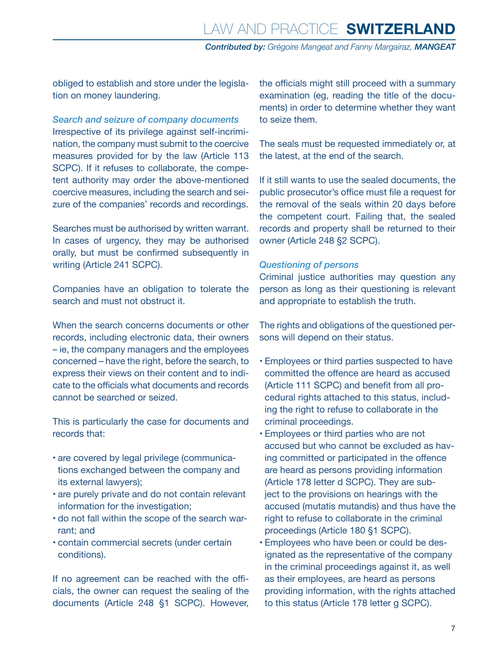obliged to establish and store under the legislation on money laundering.

#### *Search and seizure of company documents*

Irrespective of its privilege against self-incrimination, the company must submit to the coercive measures provided for by the law (Article 113 SCPC). If it refuses to collaborate, the competent authority may order the above-mentioned coercive measures, including the search and seizure of the companies' records and recordings.

Searches must be authorised by written warrant. In cases of urgency, they may be authorised orally, but must be confirmed subsequently in writing (Article 241 SCPC).

Companies have an obligation to tolerate the search and must not obstruct it.

When the search concerns documents or other records, including electronic data, their owners – ie, the company managers and the employees concerned – have the right, before the search, to express their views on their content and to indicate to the officials what documents and records cannot be searched or seized.

This is particularly the case for documents and records that:

- are covered by legal privilege (communications exchanged between the company and its external lawyers);
- are purely private and do not contain relevant information for the investigation;
- do not fall within the scope of the search warrant; and
- contain commercial secrets (under certain conditions).

If no agreement can be reached with the officials, the owner can request the sealing of the documents (Article 248 §1 SCPC). However, the officials might still proceed with a summary examination (eg, reading the title of the documents) in order to determine whether they want to seize them.

The seals must be requested immediately or, at the latest, at the end of the search.

If it still wants to use the sealed documents, the public prosecutor's office must file a request for the removal of the seals within 20 days before the competent court. Failing that, the sealed records and property shall be returned to their owner (Article 248 §2 SCPC).

#### *Questioning of persons*

Criminal justice authorities may question any person as long as their questioning is relevant and appropriate to establish the truth.

The rights and obligations of the questioned persons will depend on their status.

- Employees or third parties suspected to have committed the offence are heard as accused (Article 111 SCPC) and benefit from all procedural rights attached to this status, including the right to refuse to collaborate in the criminal proceedings.
- Employees or third parties who are not accused but who cannot be excluded as having committed or participated in the offence are heard as persons providing information (Article 178 letter d SCPC). They are subject to the provisions on hearings with the accused (mutatis mutandis) and thus have the right to refuse to collaborate in the criminal proceedings (Article 180 §1 SCPC).
- Employees who have been or could be designated as the representative of the company in the criminal proceedings against it, as well as their employees, are heard as persons providing information, with the rights attached to this status (Article 178 letter g SCPC).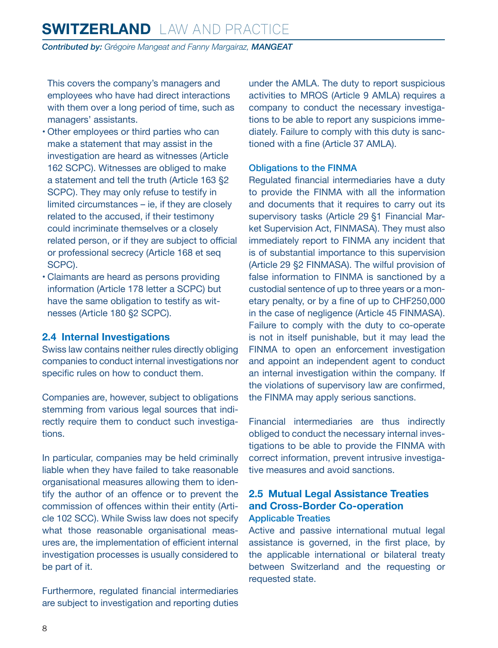<span id="page-7-0"></span>This covers the company's managers and employees who have had direct interactions with them over a long period of time, such as managers' assistants.

- Other employees or third parties who can make a statement that may assist in the investigation are heard as witnesses (Article 162 SCPC). Witnesses are obliged to make a statement and tell the truth (Article 163 §2 SCPC). They may only refuse to testify in limited circumstances – ie, if they are closely related to the accused, if their testimony could incriminate themselves or a closely related person, or if they are subject to official or professional secrecy (Article 168 et seq SCPC).
- Claimants are heard as persons providing information (Article 178 letter a SCPC) but have the same obligation to testify as witnesses (Article 180 §2 SCPC).

#### **2.4 Internal Investigations**

Swiss law contains neither rules directly obliging companies to conduct internal investigations nor specific rules on how to conduct them.

Companies are, however, subject to obligations stemming from various legal sources that indirectly require them to conduct such investigations.

In particular, companies may be held criminally liable when they have failed to take reasonable organisational measures allowing them to identify the author of an offence or to prevent the commission of offences within their entity (Article 102 SCC). While Swiss law does not specify what those reasonable organisational measures are, the implementation of efficient internal investigation processes is usually considered to be part of it.

Furthermore, regulated financial intermediaries are subject to investigation and reporting duties under the AMLA. The duty to report suspicious activities to MROS (Article 9 AMLA) requires a company to conduct the necessary investigations to be able to report any suspicions immediately. Failure to comply with this duty is sanctioned with a fine (Article 37 AMLA).

#### Obligations to the FINMA

Regulated financial intermediaries have a duty to provide the FINMA with all the information and documents that it requires to carry out its supervisory tasks (Article 29 §1 Financial Market Supervision Act, FINMASA). They must also immediately report to FINMA any incident that is of substantial importance to this supervision (Article 29 §2 FINMASA). The wilful provision of false information to FINMA is sanctioned by a custodial sentence of up to three years or a monetary penalty, or by a fine of up to CHF250,000 in the case of negligence (Article 45 FINMASA). Failure to comply with the duty to co-operate is not in itself punishable, but it may lead the FINMA to open an enforcement investigation and appoint an independent agent to conduct an internal investigation within the company. If the violations of supervisory law are confirmed, the FINMA may apply serious sanctions.

Financial intermediaries are thus indirectly obliged to conduct the necessary internal investigations to be able to provide the FINMA with correct information, prevent intrusive investigative measures and avoid sanctions.

#### **2.5 Mutual Legal Assistance Treaties and Cross-Border Co-operation** Applicable Treaties

Active and passive international mutual legal assistance is governed, in the first place, by the applicable international or bilateral treaty between Switzerland and the requesting or requested state.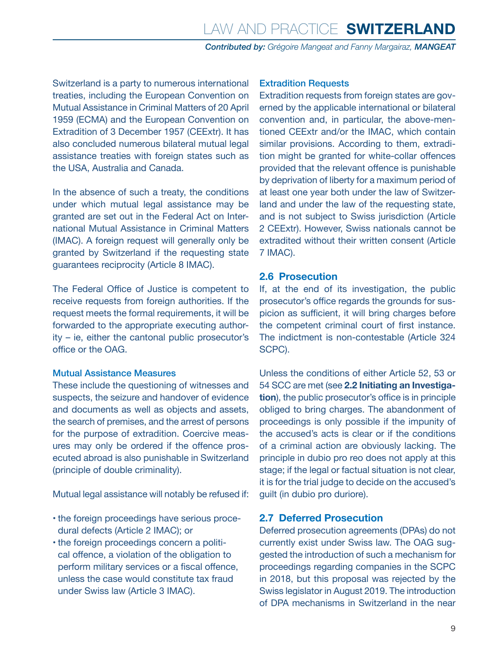<span id="page-8-0"></span>Switzerland is a party to numerous international treaties, including the European Convention on Mutual Assistance in Criminal Matters of 20 April 1959 (ECMA) and the European Convention on Extradition of 3 December 1957 (CEExtr). It has also concluded numerous bilateral mutual legal assistance treaties with foreign states such as the USA, Australia and Canada.

In the absence of such a treaty, the conditions under which mutual legal assistance may be granted are set out in the Federal Act on International Mutual Assistance in Criminal Matters (IMAC). A foreign request will generally only be granted by Switzerland if the requesting state guarantees reciprocity (Article 8 IMAC).

The Federal Office of Justice is competent to receive requests from foreign authorities. If the request meets the formal requirements, it will be forwarded to the appropriate executing authority – ie, either the cantonal public prosecutor's office or the OAG.

#### Mutual Assistance Measures

These include the questioning of witnesses and suspects, the seizure and handover of evidence and documents as well as objects and assets, the search of premises, and the arrest of persons for the purpose of extradition. Coercive measures may only be ordered if the offence prosecuted abroad is also punishable in Switzerland (principle of double criminality).

Mutual legal assistance will notably be refused if:

- the foreign proceedings have serious procedural defects (Article 2 IMAC); or
- the foreign proceedings concern a political offence, a violation of the obligation to perform military services or a fiscal offence, unless the case would constitute tax fraud under Swiss law (Article 3 IMAC).

#### Extradition Requests

Extradition requests from foreign states are governed by the applicable international or bilateral convention and, in particular, the above-mentioned CEExtr and/or the IMAC, which contain similar provisions. According to them, extradition might be granted for white-collar offences provided that the relevant offence is punishable by deprivation of liberty for a maximum period of at least one year both under the law of Switzerland and under the law of the requesting state, and is not subject to Swiss jurisdiction (Article 2 CEExtr). However, Swiss nationals cannot be extradited without their written consent (Article 7 IMAC).

#### **2.6 Prosecution**

If, at the end of its investigation, the public prosecutor's office regards the grounds for suspicion as sufficient, it will bring charges before the competent criminal court of first instance. The indictment is non-contestable (Article 324 SCPC).

Unless the conditions of either Article 52, 53 or 54 SCC are met (see **2.2 Initiating an Investigation**), the public prosecutor's office is in principle obliged to bring charges. The abandonment of proceedings is only possible if the impunity of the accused's acts is clear or if the conditions of a criminal action are obviously lacking. The principle in dubio pro reo does not apply at this stage; if the legal or factual situation is not clear, it is for the trial judge to decide on the accused's guilt (in dubio pro duriore).

#### **2.7 Deferred Prosecution**

Deferred prosecution agreements (DPAs) do not currently exist under Swiss law. The OAG suggested the introduction of such a mechanism for proceedings regarding companies in the SCPC in 2018, but this proposal was rejected by the Swiss legislator in August 2019. The introduction of DPA mechanisms in Switzerland in the near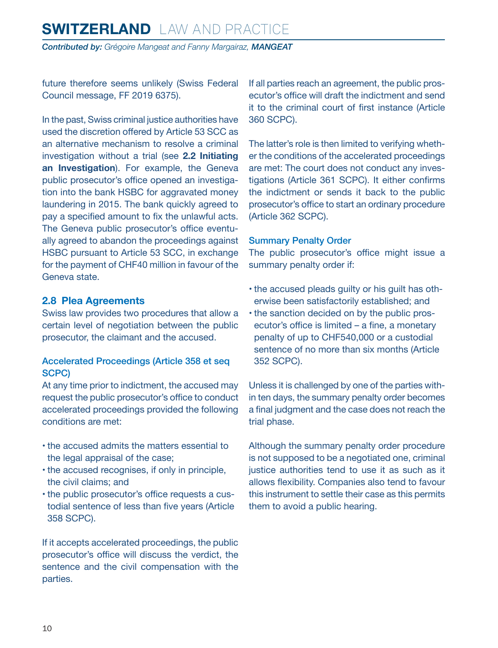<span id="page-9-0"></span>future therefore seems unlikely (Swiss Federal Council message, FF 2019 6375).

In the past, Swiss criminal justice authorities have used the discretion offered by Article 53 SCC as an alternative mechanism to resolve a criminal investigation without a trial (see **2.2 Initiating an Investigation**). For example, the Geneva public prosecutor's office opened an investigation into the bank HSBC for aggravated money laundering in 2015. The bank quickly agreed to pay a specified amount to fix the unlawful acts. The Geneva public prosecutor's office eventually agreed to abandon the proceedings against HSBC pursuant to Article 53 SCC, in exchange for the payment of CHF40 million in favour of the Geneva state.

#### **2.8 Plea Agreements**

Swiss law provides two procedures that allow a certain level of negotiation between the public prosecutor, the claimant and the accused.

#### Accelerated Proceedings (Article 358 et seq SCPC)

At any time prior to indictment, the accused may request the public prosecutor's office to conduct accelerated proceedings provided the following conditions are met:

- the accused admits the matters essential to the legal appraisal of the case;
- the accused recognises, if only in principle, the civil claims; and
- the public prosecutor's office requests a custodial sentence of less than five years (Article 358 SCPC).

If it accepts accelerated proceedings, the public prosecutor's office will discuss the verdict, the sentence and the civil compensation with the parties.

If all parties reach an agreement, the public prosecutor's office will draft the indictment and send it to the criminal court of first instance (Article 360 SCPC).

The latter's role is then limited to verifying whether the conditions of the accelerated proceedings are met: The court does not conduct any investigations (Article 361 SCPC). It either confirms the indictment or sends it back to the public prosecutor's office to start an ordinary procedure (Article 362 SCPC).

#### Summary Penalty Order

The public prosecutor's office might issue a summary penalty order if:

- the accused pleads guilty or his guilt has otherwise been satisfactorily established; and
- the sanction decided on by the public prosecutor's office is limited – a fine, a monetary penalty of up to CHF540,000 or a custodial sentence of no more than six months (Article 352 SCPC).

Unless it is challenged by one of the parties within ten days, the summary penalty order becomes a final judgment and the case does not reach the trial phase.

Although the summary penalty order procedure is not supposed to be a negotiated one, criminal justice authorities tend to use it as such as it allows flexibility. Companies also tend to favour this instrument to settle their case as this permits them to avoid a public hearing.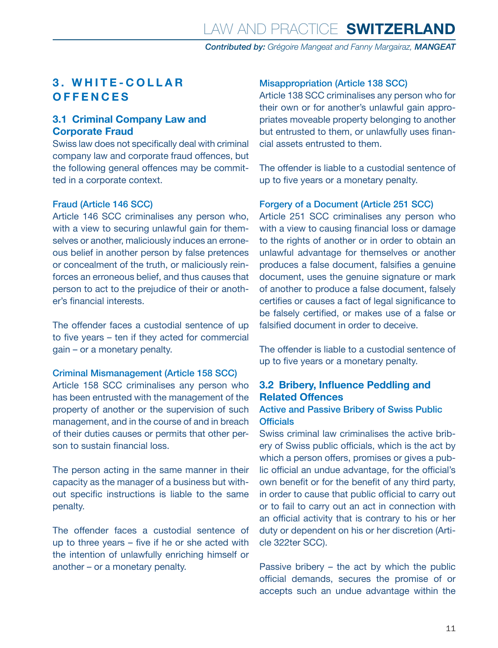#### <span id="page-10-0"></span>**3. WHITE-COLLAR OFFENCES**

#### **3.1 Criminal Company Law and Corporate Fraud**

Swiss law does not specifically deal with criminal company law and corporate fraud offences, but the following general offences may be committed in a corporate context.

#### Fraud (Article 146 SCC)

Article 146 SCC criminalises any person who, with a view to securing unlawful gain for themselves or another, maliciously induces an erroneous belief in another person by false pretences or concealment of the truth, or maliciously reinforces an erroneous belief, and thus causes that person to act to the prejudice of their or another's financial interests.

The offender faces a custodial sentence of up to five years – ten if they acted for commercial gain – or a monetary penalty.

#### Criminal Mismanagement (Article 158 SCC)

Article 158 SCC criminalises any person who has been entrusted with the management of the property of another or the supervision of such management, and in the course of and in breach of their duties causes or permits that other person to sustain financial loss.

The person acting in the same manner in their capacity as the manager of a business but without specific instructions is liable to the same penalty.

The offender faces a custodial sentence of up to three years – five if he or she acted with the intention of unlawfully enriching himself or another – or a monetary penalty.

#### Misappropriation (Article 138 SCC)

Article 138 SCC criminalises any person who for their own or for another's unlawful gain appropriates moveable property belonging to another but entrusted to them, or unlawfully uses financial assets entrusted to them.

The offender is liable to a custodial sentence of up to five years or a monetary penalty.

#### Forgery of a Document (Article 251 SCC)

Article 251 SCC criminalises any person who with a view to causing financial loss or damage to the rights of another or in order to obtain an unlawful advantage for themselves or another produces a false document, falsifies a genuine document, uses the genuine signature or mark of another to produce a false document, falsely certifies or causes a fact of legal significance to be falsely certified, or makes use of a false or falsified document in order to deceive.

The offender is liable to a custodial sentence of up to five years or a monetary penalty.

#### **3.2 Bribery, Influence Peddling and Related Offences**

#### Active and Passive Bribery of Swiss Public **Officials**

Swiss criminal law criminalises the active bribery of Swiss public officials, which is the act by which a person offers, promises or gives a public official an undue advantage, for the official's own benefit or for the benefit of any third party, in order to cause that public official to carry out or to fail to carry out an act in connection with an official activity that is contrary to his or her duty or dependent on his or her discretion (Article 322ter SCC).

Passive bribery – the act by which the public official demands, secures the promise of or accepts such an undue advantage within the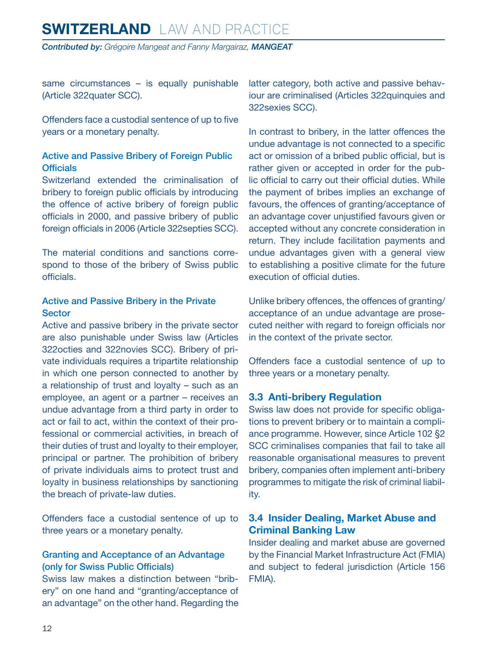<span id="page-11-0"></span>same circumstances - is equally punishable (Article 322quater SCC).

Offenders face a custodial sentence of up to five years or a monetary penalty.

#### Active and Passive Bribery of Foreign Public **Officials**

Switzerland extended the criminalisation of bribery to foreign public officials by introducing the offence of active bribery of foreign public officials in 2000, and passive bribery of public foreign officials in 2006 (Article 322septies SCC).

The material conditions and sanctions correspond to those of the bribery of Swiss public officials.

#### Active and Passive Bribery in the Private **Sector**

Active and passive bribery in the private sector are also punishable under Swiss law (Articles 322octies and 322novies SCC). Bribery of private individuals requires a tripartite relationship in which one person connected to another by a relationship of trust and loyalty – such as an employee, an agent or a partner – receives an undue advantage from a third party in order to act or fail to act, within the context of their professional or commercial activities, in breach of their duties of trust and loyalty to their employer, principal or partner. The prohibition of bribery of private individuals aims to protect trust and loyalty in business relationships by sanctioning the breach of private-law duties.

Offenders face a custodial sentence of up to three years or a monetary penalty.

#### Granting and Acceptance of an Advantage (only for Swiss Public Officials)

Swiss law makes a distinction between "bribery" on one hand and "granting/acceptance of an advantage" on the other hand. Regarding the

latter category, both active and passive behaviour are criminalised (Articles 322quinquies and 322sexies SCC).

In contrast to bribery, in the latter offences the undue advantage is not connected to a specific act or omission of a bribed public official, but is rather given or accepted in order for the public official to carry out their official duties. While the payment of bribes implies an exchange of favours, the offences of granting/acceptance of an advantage cover unjustified favours given or accepted without any concrete consideration in return. They include facilitation payments and undue advantages given with a general view to establishing a positive climate for the future execution of official duties.

Unlike bribery offences, the offences of granting/ acceptance of an undue advantage are prosecuted neither with regard to foreign officials nor in the context of the private sector.

Offenders face a custodial sentence of up to three years or a monetary penalty.

#### **3.3 Anti-bribery Regulation**

Swiss law does not provide for specific obligations to prevent bribery or to maintain a compliance programme. However, since Article 102 §2 SCC criminalises companies that fail to take all reasonable organisational measures to prevent bribery, companies often implement anti-bribery programmes to mitigate the risk of criminal liability.

#### **3.4 Insider Dealing, Market Abuse and Criminal Banking Law**

Insider dealing and market abuse are governed by the Financial Market Infrastructure Act (FMIA) and subject to federal jurisdiction (Article 156 FMIA).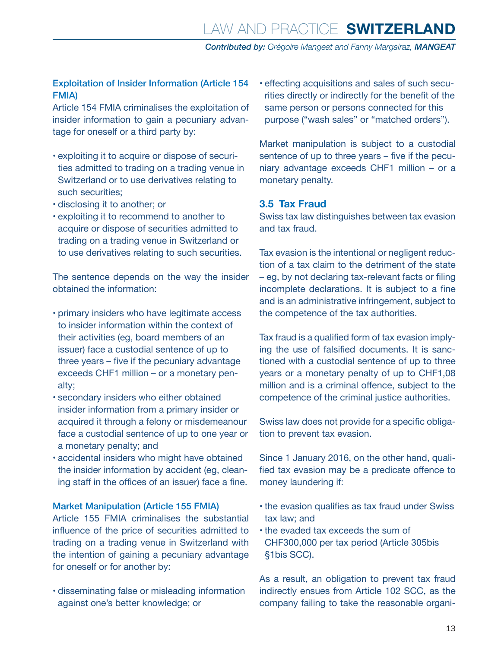#### <span id="page-12-0"></span>Exploitation of Insider Information (Article 154 FMIA)

Article 154 FMIA criminalises the exploitation of insider information to gain a pecuniary advantage for oneself or a third party by:

- exploiting it to acquire or dispose of securities admitted to trading on a trading venue in Switzerland or to use derivatives relating to such securities;
- disclosing it to another; or
- exploiting it to recommend to another to acquire or dispose of securities admitted to trading on a trading venue in Switzerland or to use derivatives relating to such securities.

The sentence depends on the way the insider obtained the information:

- primary insiders who have legitimate access to insider information within the context of their activities (eg, board members of an issuer) face a custodial sentence of up to three years – five if the pecuniary advantage exceeds CHF1 million – or a monetary penalty;
- secondary insiders who either obtained insider information from a primary insider or acquired it through a felony or misdemeanour face a custodial sentence of up to one year or a monetary penalty; and
- accidental insiders who might have obtained the insider information by accident (eg, cleaning staff in the offices of an issuer) face a fine.

#### Market Manipulation (Article 155 FMIA)

Article 155 FMIA criminalises the substantial influence of the price of securities admitted to trading on a trading venue in Switzerland with the intention of gaining a pecuniary advantage for oneself or for another by:

• disseminating false or misleading information against one's better knowledge; or

• effecting acquisitions and sales of such securities directly or indirectly for the benefit of the same person or persons connected for this purpose ("wash sales" or "matched orders").

Market manipulation is subject to a custodial sentence of up to three years – five if the pecuniary advantage exceeds CHF1 million – or a monetary penalty.

#### **3.5 Tax Fraud**

Swiss tax law distinguishes between tax evasion and tax fraud.

Tax evasion is the intentional or negligent reduction of a tax claim to the detriment of the state – eg, by not declaring tax-relevant facts or filing incomplete declarations. It is subject to a fine and is an administrative infringement, subject to the competence of the tax authorities.

Tax fraud is a qualified form of tax evasion implying the use of falsified documents. It is sanctioned with a custodial sentence of up to three years or a monetary penalty of up to CHF1,08 million and is a criminal offence, subject to the competence of the criminal justice authorities.

Swiss law does not provide for a specific obligation to prevent tax evasion.

Since 1 January 2016, on the other hand, qualified tax evasion may be a predicate offence to money laundering if:

- the evasion qualifies as tax fraud under Swiss tax law; and
- the evaded tax exceeds the sum of CHF300,000 per tax period (Article 305bis §1bis SCC).

As a result, an obligation to prevent tax fraud indirectly ensues from Article 102 SCC, as the company failing to take the reasonable organi-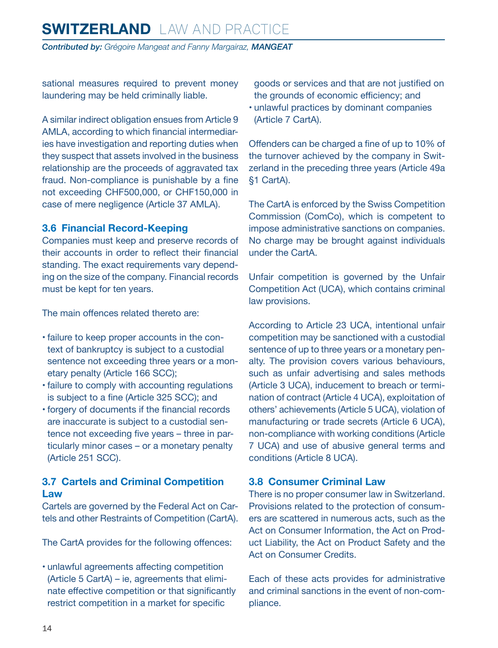<span id="page-13-0"></span>sational measures required to prevent money laundering may be held criminally liable.

A similar indirect obligation ensues from Article 9 AMLA, according to which financial intermediaries have investigation and reporting duties when they suspect that assets involved in the business relationship are the proceeds of aggravated tax fraud. Non-compliance is punishable by a fine not exceeding CHF500,000, or CHF150,000 in case of mere negligence (Article 37 AMLA).

#### **3.6 Financial Record-Keeping**

Companies must keep and preserve records of their accounts in order to reflect their financial standing. The exact requirements vary depending on the size of the company. Financial records must be kept for ten years.

The main offences related thereto are:

- failure to keep proper accounts in the context of bankruptcy is subject to a custodial sentence not exceeding three years or a monetary penalty (Article 166 SCC);
- failure to comply with accounting regulations is subject to a fine (Article 325 SCC); and
- forgery of documents if the financial records are inaccurate is subject to a custodial sentence not exceeding five years – three in particularly minor cases – or a monetary penalty (Article 251 SCC).

#### **3.7 Cartels and Criminal Competition Law**

Cartels are governed by the Federal Act on Cartels and other Restraints of Competition (CartA).

The CartA provides for the following offences:

• unlawful agreements affecting competition (Article 5 CartA) – ie, agreements that eliminate effective competition or that significantly restrict competition in a market for specific

goods or services and that are not justified on the grounds of economic efficiency; and

• unlawful practices by dominant companies (Article 7 CartA).

Offenders can be charged a fine of up to 10% of the turnover achieved by the company in Switzerland in the preceding three years (Article 49a §1 CartA).

The CartA is enforced by the Swiss Competition Commission (ComCo), which is competent to impose administrative sanctions on companies. No charge may be brought against individuals under the CartA.

Unfair competition is governed by the Unfair Competition Act (UCA), which contains criminal law provisions.

According to Article 23 UCA, intentional unfair competition may be sanctioned with a custodial sentence of up to three years or a monetary penalty. The provision covers various behaviours, such as unfair advertising and sales methods (Article 3 UCA), inducement to breach or termination of contract (Article 4 UCA), exploitation of others' achievements (Article 5 UCA), violation of manufacturing or trade secrets (Article 6 UCA), non-compliance with working conditions (Article 7 UCA) and use of abusive general terms and conditions (Article 8 UCA).

#### **3.8 Consumer Criminal Law**

There is no proper consumer law in Switzerland. Provisions related to the protection of consumers are scattered in numerous acts, such as the Act on Consumer Information, the Act on Product Liability, the Act on Product Safety and the Act on Consumer Credits.

Each of these acts provides for administrative and criminal sanctions in the event of non-compliance.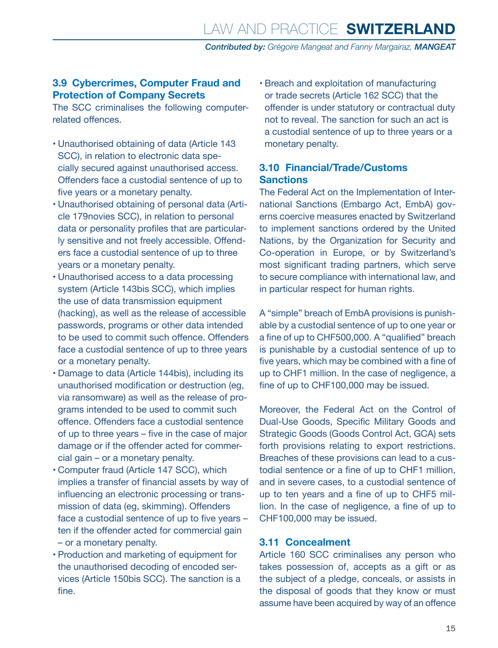#### <span id="page-14-0"></span>**3.9 Cybercrimes, Computer Fraud and Protection of Company Secrets**

The SCC criminalises the following computerrelated offences.

- Unauthorised obtaining of data (Article 143 SCC), in relation to electronic data specially secured against unauthorised access. Offenders face a custodial sentence of up to five years or a monetary penalty.
- Unauthorised obtaining of personal data (Article 179novies SCC), in relation to personal data or personality profiles that are particularly sensitive and not freely accessible. Offenders face a custodial sentence of up to three years or a monetary penalty.
- Unauthorised access to a data processing system (Article 143bis SCC), which implies the use of data transmission equipment (hacking), as well as the release of accessible passwords, programs or other data intended to be used to commit such offence. Offenders face a custodial sentence of up to three years or a monetary penalty.
- Damage to data (Article 144bis), including its unauthorised modification or destruction (eg, via ransomware) as well as the release of programs intended to be used to commit such offence. Offenders face a custodial sentence of up to three years – five in the case of major damage or if the offender acted for commercial gain – or a monetary penalty.
- Computer fraud (Article 147 SCC), which implies a transfer of financial assets by way of influencing an electronic processing or transmission of data (eg, skimming). Offenders face a custodial sentence of up to five years – ten if the offender acted for commercial gain – or a monetary penalty.
- Production and marketing of equipment for the unauthorised decoding of encoded services (Article 150bis SCC). The sanction is a fine.

• Breach and exploitation of manufacturing or trade secrets (Article 162 SCC) that the offender is under statutory or contractual duty not to reveal. The sanction for such an act is a custodial sentence of up to three years or a monetary penalty.

#### **3.10 Financial/Trade/Customs Sanctions**

The Federal Act on the Implementation of International Sanctions (Embargo Act, EmbA) governs coercive measures enacted by Switzerland to implement sanctions ordered by the United Nations, by the Organization for Security and Co-operation in Europe, or by Switzerland's most significant trading partners, which serve to secure compliance with international law, and in particular respect for human rights.

A "simple" breach of EmbA provisions is punishable by a custodial sentence of up to one year or a fine of up to CHF500,000. A "qualified" breach is punishable by a custodial sentence of up to five years, which may be combined with a fine of up to CHF1 million. In the case of negligence, a fine of up to CHF100,000 may be issued.

Moreover, the Federal Act on the Control of Dual-Use Goods, Specific Military Goods and Strategic Goods (Goods Control Act, GCA) sets forth provisions relating to export restrictions. Breaches of these provisions can lead to a custodial sentence or a fine of up to CHF1 million, and in severe cases, to a custodial sentence of up to ten years and a fine of up to CHF5 million. In the case of negligence, a fine of up to CHF100,000 may be issued.

#### **3.11 Concealment**

Article 160 SCC criminalises any person who takes possession of, accepts as a gift or as the subject of a pledge, conceals, or assists in the disposal of goods that they know or must assume have been acquired by way of an offence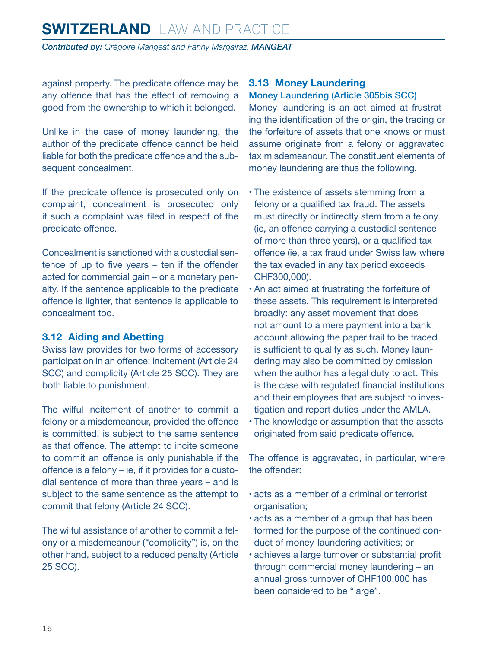<span id="page-15-0"></span>against property. The predicate offence may be any offence that has the effect of removing a good from the ownership to which it belonged.

Unlike in the case of money laundering, the author of the predicate offence cannot be held liable for both the predicate offence and the subsequent concealment.

If the predicate offence is prosecuted only on complaint, concealment is prosecuted only if such a complaint was filed in respect of the predicate offence.

Concealment is sanctioned with a custodial sentence of up to five years – ten if the offender acted for commercial gain – or a monetary penalty. If the sentence applicable to the predicate offence is lighter, that sentence is applicable to concealment too.

#### **3.12 Aiding and Abetting**

Swiss law provides for two forms of accessory participation in an offence: incitement (Article 24 SCC) and complicity (Article 25 SCC). They are both liable to punishment.

The wilful incitement of another to commit a felony or a misdemeanour, provided the offence is committed, is subject to the same sentence as that offence. The attempt to incite someone to commit an offence is only punishable if the offence is a felony – ie, if it provides for a custodial sentence of more than three years – and is subject to the same sentence as the attempt to commit that felony (Article 24 SCC).

The wilful assistance of another to commit a felony or a misdemeanour ("complicity") is, on the other hand, subject to a reduced penalty (Article 25 SCC).

#### **3.13 Money Laundering**

#### Money Laundering (Article 305bis SCC)

Money laundering is an act aimed at frustrating the identification of the origin, the tracing or the forfeiture of assets that one knows or must assume originate from a felony or aggravated tax misdemeanour. The constituent elements of money laundering are thus the following.

- The existence of assets stemming from a felony or a qualified tax fraud. The assets must directly or indirectly stem from a felony (ie, an offence carrying a custodial sentence of more than three years), or a qualified tax offence (ie, a tax fraud under Swiss law where the tax evaded in any tax period exceeds CHF300,000).
- An act aimed at frustrating the forfeiture of these assets. This requirement is interpreted broadly: any asset movement that does not amount to a mere payment into a bank account allowing the paper trail to be traced is sufficient to qualify as such. Money laundering may also be committed by omission when the author has a legal duty to act. This is the case with regulated financial institutions and their employees that are subject to investigation and report duties under the AMLA.
- The knowledge or assumption that the assets originated from said predicate offence.

The offence is aggravated, in particular, where the offender:

- acts as a member of a criminal or terrorist organisation;
- acts as a member of a group that has been formed for the purpose of the continued conduct of money-laundering activities; or
- achieves a large turnover or substantial profit through commercial money laundering – an annual gross turnover of CHF100,000 has been considered to be "large".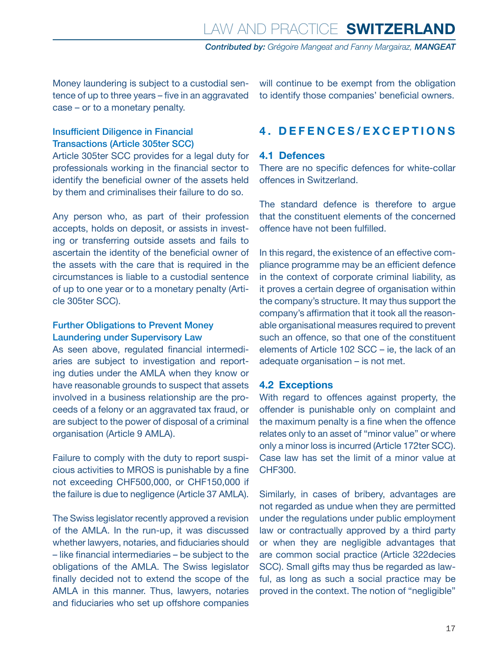<span id="page-16-0"></span>Money laundering is subject to a custodial sentence of up to three years – five in an aggravated case – or to a monetary penalty.

#### Insufficient Diligence in Financial Transactions (Article 305ter SCC)

Article 305ter SCC provides for a legal duty for professionals working in the financial sector to identify the beneficial owner of the assets held by them and criminalises their failure to do so.

Any person who, as part of their profession accepts, holds on deposit, or assists in investing or transferring outside assets and fails to ascertain the identity of the beneficial owner of the assets with the care that is required in the circumstances is liable to a custodial sentence of up to one year or to a monetary penalty (Article 305ter SCC).

#### Further Obligations to Prevent Money Laundering under Supervisory Law

As seen above, regulated financial intermediaries are subject to investigation and reporting duties under the AMLA when they know or have reasonable grounds to suspect that assets involved in a business relationship are the proceeds of a felony or an aggravated tax fraud, or are subject to the power of disposal of a criminal organisation (Article 9 AMLA).

Failure to comply with the duty to report suspicious activities to MROS is punishable by a fine not exceeding CHF500,000, or CHF150,000 if the failure is due to negligence (Article 37 AMLA).

The Swiss legislator recently approved a revision of the AMLA. In the run-up, it was discussed whether lawyers, notaries, and fiduciaries should – like financial intermediaries – be subject to the obligations of the AMLA. The Swiss legislator finally decided not to extend the scope of the AMLA in this manner. Thus, lawyers, notaries and fiduciaries who set up offshore companies will continue to be exempt from the obligation to identify those companies' beneficial owners.

#### **4 . DEFENCES/EXCEPTIONS**

#### **4.1 Defences**

There are no specific defences for white-collar offences in Switzerland.

The standard defence is therefore to argue that the constituent elements of the concerned offence have not been fulfilled.

In this regard, the existence of an effective compliance programme may be an efficient defence in the context of corporate criminal liability, as it proves a certain degree of organisation within the company's structure. It may thus support the company's affirmation that it took all the reasonable organisational measures required to prevent such an offence, so that one of the constituent elements of Article 102 SCC – ie, the lack of an adequate organisation – is not met.

#### **4.2 Exceptions**

With regard to offences against property, the offender is punishable only on complaint and the maximum penalty is a fine when the offence relates only to an asset of "minor value" or where only a minor loss is incurred (Article 172ter SCC). Case law has set the limit of a minor value at CHF300.

Similarly, in cases of bribery, advantages are not regarded as undue when they are permitted under the regulations under public employment law or contractually approved by a third party or when they are negligible advantages that are common social practice (Article 322decies SCC). Small gifts may thus be regarded as lawful, as long as such a social practice may be proved in the context. The notion of "negligible"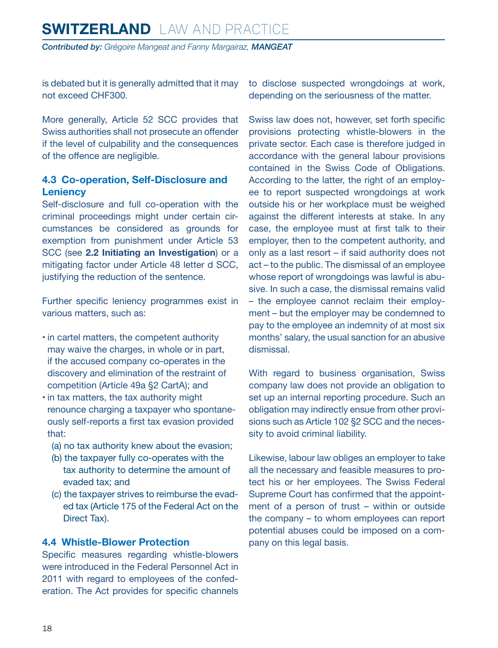<span id="page-17-0"></span>is debated but it is generally admitted that it may not exceed CHF300.

More generally, Article 52 SCC provides that Swiss authorities shall not prosecute an offender if the level of culpability and the consequences of the offence are negligible.

#### **4.3 Co-operation, Self-Disclosure and Leniency**

Self-disclosure and full co-operation with the criminal proceedings might under certain circumstances be considered as grounds for exemption from punishment under Article 53 SCC (see **2.2 Initiating an Investigation**) or a mitigating factor under Article 48 letter d SCC, justifying the reduction of the sentence.

Further specific leniency programmes exist in various matters, such as:

- in cartel matters, the competent authority may waive the charges, in whole or in part, if the accused company co-operates in the discovery and elimination of the restraint of competition (Article 49a §2 CartA); and
- in tax matters, the tax authority might renounce charging a taxpayer who spontaneously self-reports a first tax evasion provided that:
	- (a) no tax authority knew about the evasion;
	- (b) the taxpayer fully co-operates with the tax authority to determine the amount of evaded tax; and
	- (c) the taxpayer strives to reimburse the evaded tax (Article 175 of the Federal Act on the Direct Tax).

#### **4.4 Whistle-Blower Protection**

Specific measures regarding whistle-blowers were introduced in the Federal Personnel Act in 2011 with regard to employees of the confederation. The Act provides for specific channels to disclose suspected wrongdoings at work, depending on the seriousness of the matter.

Swiss law does not, however, set forth specific provisions protecting whistle-blowers in the private sector. Each case is therefore judged in accordance with the general labour provisions contained in the Swiss Code of Obligations. According to the latter, the right of an employee to report suspected wrongdoings at work outside his or her workplace must be weighed against the different interests at stake. In any case, the employee must at first talk to their employer, then to the competent authority, and only as a last resort – if said authority does not act – to the public. The dismissal of an employee whose report of wrongdoings was lawful is abusive. In such a case, the dismissal remains valid – the employee cannot reclaim their employment – but the employer may be condemned to pay to the employee an indemnity of at most six months' salary, the usual sanction for an abusive dismissal.

With regard to business organisation, Swiss company law does not provide an obligation to set up an internal reporting procedure. Such an obligation may indirectly ensue from other provisions such as Article 102 §2 SCC and the necessity to avoid criminal liability.

Likewise, labour law obliges an employer to take all the necessary and feasible measures to protect his or her employees. The Swiss Federal Supreme Court has confirmed that the appointment of a person of trust – within or outside the company – to whom employees can report potential abuses could be imposed on a company on this legal basis.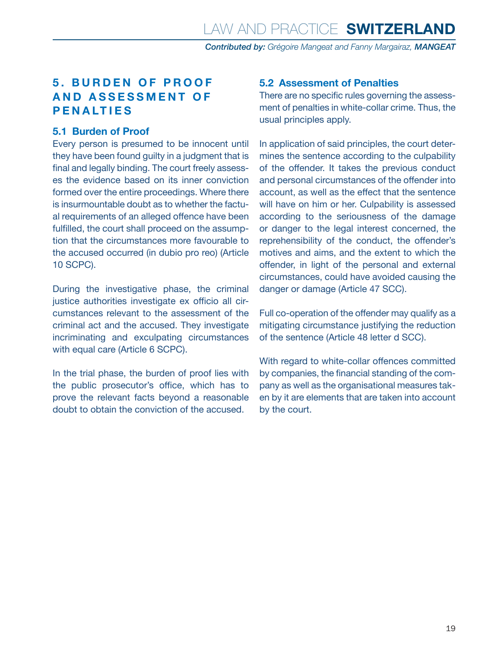#### <span id="page-18-0"></span>**5 . BURDEN O F PROOF A N D A S S E S S M E N T O F PENALTIES**

#### **5.1 Burden of Proof**

Every person is presumed to be innocent until they have been found guilty in a judgment that is final and legally binding. The court freely assesses the evidence based on its inner conviction formed over the entire proceedings. Where there is insurmountable doubt as to whether the factual requirements of an alleged offence have been fulfilled, the court shall proceed on the assumption that the circumstances more favourable to the accused occurred (in dubio pro reo) (Article 10 SCPC).

During the investigative phase, the criminal justice authorities investigate ex officio all circumstances relevant to the assessment of the criminal act and the accused. They investigate incriminating and exculpating circumstances with equal care (Article 6 SCPC).

In the trial phase, the burden of proof lies with the public prosecutor's office, which has to prove the relevant facts beyond a reasonable doubt to obtain the conviction of the accused.

#### **5.2 Assessment of Penalties**

There are no specific rules governing the assessment of penalties in white-collar crime. Thus, the usual principles apply.

In application of said principles, the court determines the sentence according to the culpability of the offender. It takes the previous conduct and personal circumstances of the offender into account, as well as the effect that the sentence will have on him or her. Culpability is assessed according to the seriousness of the damage or danger to the legal interest concerned, the reprehensibility of the conduct, the offender's motives and aims, and the extent to which the offender, in light of the personal and external circumstances, could have avoided causing the danger or damage (Article 47 SCC).

Full co-operation of the offender may qualify as a mitigating circumstance justifying the reduction of the sentence (Article 48 letter d SCC).

With regard to white-collar offences committed by companies, the financial standing of the company as well as the organisational measures taken by it are elements that are taken into account by the court.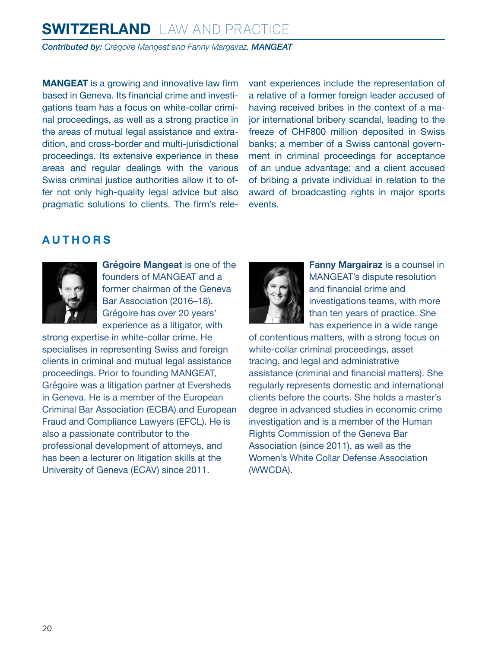## **SWITZERLAND** LAW AND PRACTICE

*Contributed by: Grégoire Mangeat and Fanny Margairaz, MANGEAT*

**MANGEAT** is a growing and innovative law firm based in Geneva. Its financial crime and investigations team has a focus on white-collar criminal proceedings, as well as a strong practice in the areas of mutual legal assistance and extradition, and cross-border and multi-jurisdictional proceedings. Its extensive experience in these areas and regular dealings with the various Swiss criminal justice authorities allow it to offer not only high-quality legal advice but also pragmatic solutions to clients. The firm's relevant experiences include the representation of a relative of a former foreign leader accused of having received bribes in the context of a major international bribery scandal, leading to the freeze of CHF800 million deposited in Swiss banks; a member of a Swiss cantonal government in criminal proceedings for acceptance of an undue advantage; and a client accused of bribing a private individual in relation to the award of broadcasting rights in major sports events.

#### <span id="page-19-0"></span>**AUTHORS**



**Grégoire Mangeat** is one of the founders of MANGEAT and a former chairman of the Geneva Bar Association (2016–18). Grégoire has over 20 years' experience as a litigator, with

strong expertise in white-collar crime. He specialises in representing Swiss and foreign clients in criminal and mutual legal assistance proceedings. Prior to founding MANGEAT, Grégoire was a litigation partner at Eversheds in Geneva. He is a member of the European Criminal Bar Association (ECBA) and European Fraud and Compliance Lawyers (EFCL). He is also a passionate contributor to the professional development of attorneys, and has been a lecturer on litigation skills at the University of Geneva (ECAV) since 2011.



**Fanny Margairaz** is a counsel in MANGEAT's dispute resolution and financial crime and investigations teams, with more than ten years of practice. She has experience in a wide range

of contentious matters, with a strong focus on white-collar criminal proceedings, asset tracing, and legal and administrative assistance (criminal and financial matters). She regularly represents domestic and international clients before the courts. She holds a master's degree in advanced studies in economic crime investigation and is a member of the Human Rights Commission of the Geneva Bar Association (since 2011), as well as the Women's White Collar Defense Association (WWCDA).